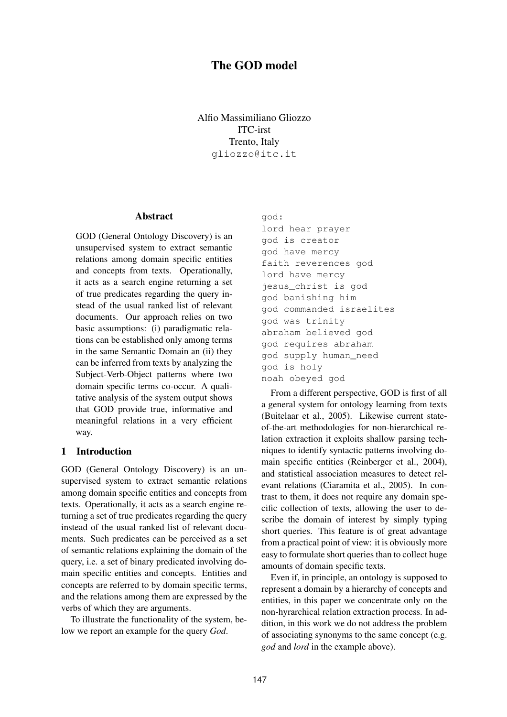# The GOD model

Alfio Massimiliano Gliozzo ITC-irst Trento, Italy gliozzo@itc.it

#### Abstract

GOD (General Ontology Discovery) is an unsupervised system to extract semantic relations among domain specific entities and concepts from texts. Operationally, it acts as a search engine returning a set of true predicates regarding the query instead of the usual ranked list of relevant documents. Our approach relies on two basic assumptions: (i) paradigmatic relations can be established only among terms in the same Semantic Domain an (ii) they can be inferred from texts by analyzing the Subject-Verb-Object patterns where two domain specific terms co-occur. A qualitative analysis of the system output shows that GOD provide true, informative and meaningful relations in a very efficient way.

## 1 Introduction

GOD (General Ontology Discovery) is an unsupervised system to extract semantic relations among domain specific entities and concepts from texts. Operationally, it acts as a search engine returning a set of true predicates regarding the query instead of the usual ranked list of relevant documents. Such predicates can be perceived as a set of semantic relations explaining the domain of the query, i.e. a set of binary predicated involving domain specific entities and concepts. Entities and concepts are referred to by domain specific terms, and the relations among them are expressed by the verbs of which they are arguments.

To illustrate the functionality of the system, below we report an example for the query *God*.

#### god:

lord hear prayer god is creator god have mercy faith reverences god lord have mercy jesus\_christ is god god banishing him god commanded israelites god was trinity abraham believed god god requires abraham god supply human\_need god is holy noah obeyed god

From a different perspective, GOD is first of all a general system for ontology learning from texts (Buitelaar et al., 2005). Likewise current stateof-the-art methodologies for non-hierarchical relation extraction it exploits shallow parsing techniques to identify syntactic patterns involving domain specific entities (Reinberger et al., 2004), and statistical association measures to detect relevant relations (Ciaramita et al., 2005). In contrast to them, it does not require any domain specific collection of texts, allowing the user to describe the domain of interest by simply typing short queries. This feature is of great advantage from a practical point of view: it is obviously more easy to formulate short queries than to collect huge amounts of domain specific texts.

Even if, in principle, an ontology is supposed to represent a domain by a hierarchy of concepts and entities, in this paper we concentrate only on the non-hyrarchical relation extraction process. In addition, in this work we do not address the problem of associating synonyms to the same concept (e.g. *god* and *lord* in the example above).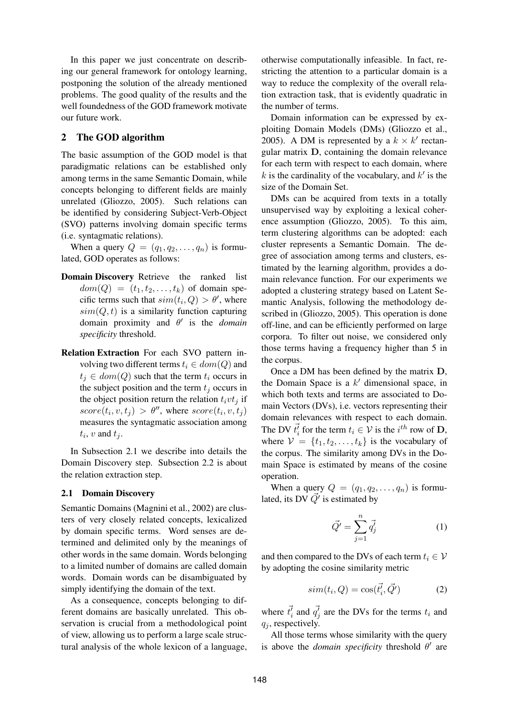In this paper we just concentrate on describing our general framework for ontology learning, postponing the solution of the already mentioned problems. The good quality of the results and the well foundedness of the GOD framework motivate our future work.

### 2 The GOD algorithm

The basic assumption of the GOD model is that paradigmatic relations can be established only among terms in the same Semantic Domain, while concepts belonging to different fields are mainly unrelated (Gliozzo, 2005). Such relations can be identified by considering Subject-Verb-Object (SVO) patterns involving domain specific terms (i.e. syntagmatic relations).

When a query  $Q = (q_1, q_2, \dots, q_n)$  is formulated, GOD operates as follows:

- Domain Discovery Retrieve the ranked list  $dom(Q) = (t_1, t_2, \ldots, t_k)$  of domain specific terms such that  $sim(t_i, Q) > \theta'$ , where  $sim(Q, t)$  is a similarity function capturing domain proximity and θ 0 is the *domain specificity* threshold.
- Relation Extraction For each SVO pattern involving two different terms  $t_i \in dom(Q)$  and  $t_i \in dom(Q)$  such that the term  $t_i$  occurs in the subject position and the term  $t_i$  occurs in the object position return the relation  $t_i v t_j$  if  $score(t_i, v, t_j) > \theta''$ , where  $score(t_i, v, t_j)$ measures the syntagmatic association among  $t_i$ ,  $v$  and  $t_j$ .

In Subsection 2.1 we describe into details the Domain Discovery step. Subsection 2.2 is about the relation extraction step.

#### 2.1 Domain Discovery

Semantic Domains (Magnini et al., 2002) are clusters of very closely related concepts, lexicalized by domain specific terms. Word senses are determined and delimited only by the meanings of other words in the same domain. Words belonging to a limited number of domains are called domain words. Domain words can be disambiguated by simply identifying the domain of the text.

As a consequence, concepts belonging to different domains are basically unrelated. This observation is crucial from a methodological point of view, allowing us to perform a large scale structural analysis of the whole lexicon of a language, otherwise computationally infeasible. In fact, restricting the attention to a particular domain is a way to reduce the complexity of the overall relation extraction task, that is evidently quadratic in the number of terms.

Domain information can be expressed by exploiting Domain Models (DMs) (Gliozzo et al., 2005). A DM is represented by a  $k \times k'$  rectangular matrix D, containing the domain relevance for each term with respect to each domain, where  $k$  is the cardinality of the vocabulary, and  $k'$  is the size of the Domain Set.

DMs can be acquired from texts in a totally unsupervised way by exploiting a lexical coherence assumption (Gliozzo, 2005). To this aim, term clustering algorithms can be adopted: each cluster represents a Semantic Domain. The degree of association among terms and clusters, estimated by the learning algorithm, provides a domain relevance function. For our experiments we adopted a clustering strategy based on Latent Semantic Analysis, following the methodology described in (Gliozzo, 2005). This operation is done off-line, and can be efficiently performed on large corpora. To filter out noise, we considered only those terms having a frequency higher than 5 in the corpus.

Once a DM has been defined by the matrix D, the Domain Space is a  $k'$  dimensional space, in which both texts and terms are associated to Domain Vectors (DVs), i.e. vectors representing their domain relevances with respect to each domain. The DV  $\bar{t}_i^j$  $\vec{a}_i$  for the term  $t_i \in \mathcal{V}$  is the  $i^{th}$  row of **D**, where  $V = \{t_1, t_2, \ldots, t_k\}$  is the vocabulary of the corpus. The similarity among DVs in the Domain Space is estimated by means of the cosine operation.

When a query  $Q = (q_1, q_2, \dots, q_n)$  is formulated, its DV  $\vec{Q}$ ' is estimated by

$$
\vec{Q'} = \sum_{j=1}^{n} \vec{q'_j} \tag{1}
$$

and then compared to the DVs of each term  $t_i \in V$ by adopting the cosine similarity metric

$$
sim(t_i, Q) = \cos(\vec{t'_i}, \vec{Q'})
$$
 (2)

where  $\bar{t}_i^j$  $\vec{i}$  and  $\vec{q}_j^j$  $t'_{j}$  are the DVs for the terms  $t_{i}$  and  $q_i$ , respectively.

All those terms whose similarity with the query is above the *domain specificity* threshold  $\theta'$  are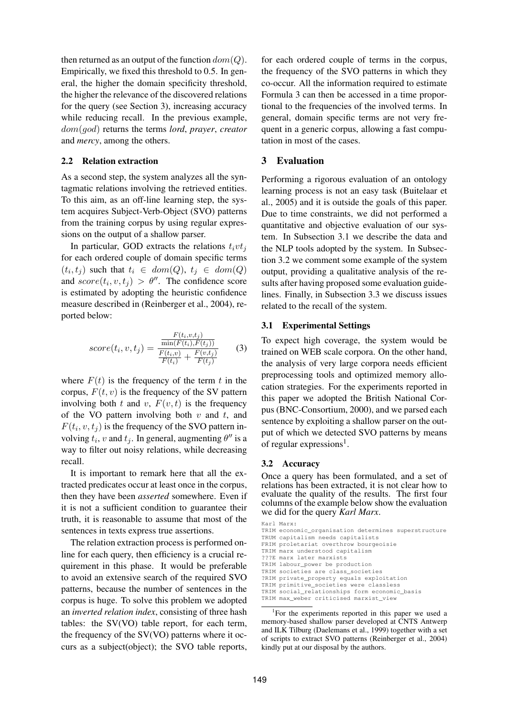then returned as an output of the function  $dom(Q)$ . Empirically, we fixed this threshold to 0.5. In general, the higher the domain specificity threshold, the higher the relevance of the discovered relations for the query (see Section 3), increasing accuracy while reducing recall. In the previous example, dom(god) returns the terms *lord*, *prayer*, *creator* and *mercy*, among the others.

#### 2.2 Relation extraction

As a second step, the system analyzes all the syntagmatic relations involving the retrieved entities. To this aim, as an off-line learning step, the system acquires Subject-Verb-Object (SVO) patterns from the training corpus by using regular expressions on the output of a shallow parser.

In particular, GOD extracts the relations  $t_i v t_j$ for each ordered couple of domain specific terms  $(t_i, t_j)$  such that  $t_i \in dom(Q), t_j \in dom(Q)$ and  $score(t_i, v, t_j) > \theta''$ . The confidence score is estimated by adopting the heuristic confidence measure described in (Reinberger et al., 2004), reported below:

$$
score(t_i, v, t_j) = \frac{\frac{F(t_i, v, t_j)}{\min(F(t_i), F(t_j))}}{\frac{F(t_i, v)}{F(t_i)} + \frac{F(v, t_j)}{F(t_j)}}\qquad(3)
$$

where  $F(t)$  is the frequency of the term t in the corpus,  $F(t, v)$  is the frequency of the SV pattern involving both t and v,  $F(v, t)$  is the frequency of the VO pattern involving both  $v$  and  $t$ , and  $F(t_i, v, t_j)$  is the frequency of the SVO pattern involving  $t_i$ , v and  $t_j$ . In general, augmenting  $\theta''$  is a way to filter out noisy relations, while decreasing recall.

It is important to remark here that all the extracted predicates occur at least once in the corpus, then they have been *asserted* somewhere. Even if it is not a sufficient condition to guarantee their truth, it is reasonable to assume that most of the sentences in texts express true assertions.

The relation extraction process is performed online for each query, then efficiency is a crucial requirement in this phase. It would be preferable to avoid an extensive search of the required SVO patterns, because the number of sentences in the corpus is huge. To solve this problem we adopted an *inverted relation index*, consisting of three hash tables: the SV(VO) table report, for each term, the frequency of the SV(VO) patterns where it occurs as a subject(object); the SVO table reports, for each ordered couple of terms in the corpus, the frequency of the SVO patterns in which they co-occur. All the information required to estimate Formula 3 can then be accessed in a time proportional to the frequencies of the involved terms. In general, domain specific terms are not very frequent in a generic corpus, allowing a fast computation in most of the cases.

#### 3 Evaluation

Performing a rigorous evaluation of an ontology learning process is not an easy task (Buitelaar et al., 2005) and it is outside the goals of this paper. Due to time constraints, we did not performed a quantitative and objective evaluation of our system. In Subsection 3.1 we describe the data and the NLP tools adopted by the system. In Subsection 3.2 we comment some example of the system output, providing a qualitative analysis of the results after having proposed some evaluation guidelines. Finally, in Subsection 3.3 we discuss issues related to the recall of the system.

#### 3.1 Experimental Settings

To expect high coverage, the system would be trained on WEB scale corpora. On the other hand, the analysis of very large corpora needs efficient preprocessing tools and optimized memory allocation strategies. For the experiments reported in this paper we adopted the British National Corpus (BNC-Consortium, 2000), and we parsed each sentence by exploiting a shallow parser on the output of which we detected SVO patterns by means of regular expressions<sup>1</sup>.

### 3.2 Accuracy

Once a query has been formulated, and a set of relations has been extracted, it is not clear how to evaluate the quality of the results. The first four columns of the example below show the evaluation we did for the query *Karl Marx*.

```
Karl Marx:
TRIM economic_organisation determines superstructure
TRUM capitalism needs capitalists
FRIM proletariat overthrow bourgeoisie
TRIM marx understood capitalism
???E marx later marxists
TRIM labour power be production
TRIM societies are class_societies
?RIM private_property equals exploitation
TRIM primitive_societies were classless
TRIM social_relationships form economic_basis
TRIM max_weber criticised marxist_view
```
<sup>1</sup>For the experiments reported in this paper we used a memory-based shallow parser developed at CNTS Antwerp and ILK Tilburg (Daelemans et al., 1999) together with a set of scripts to extract SVO patterns (Reinberger et al., 2004) kindly put at our disposal by the authors.